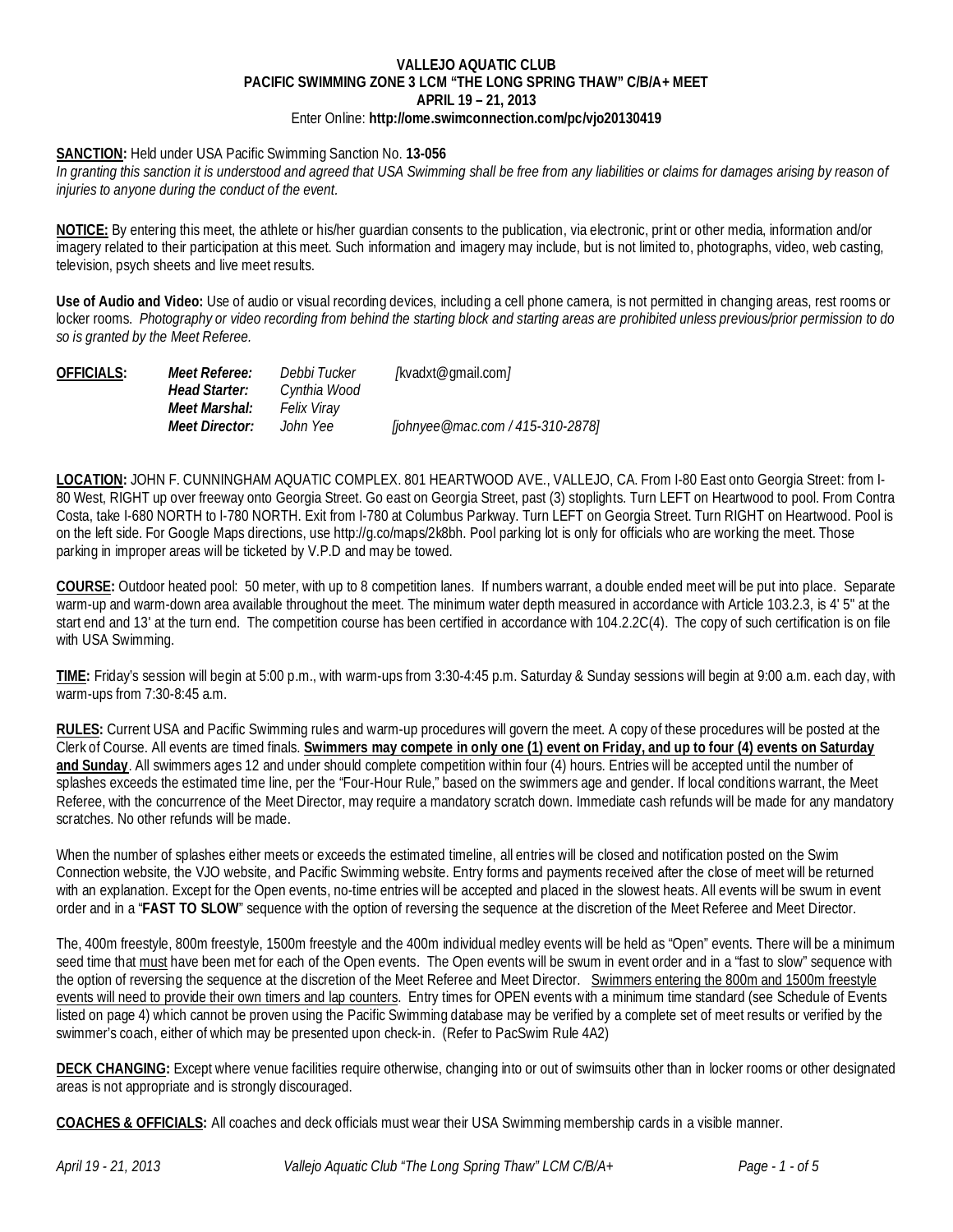# **VALLEJO AQUATIC CLUB PACIFIC SWIMMING ZONE 3 LCM "THE LONG SPRING THAW" C/B/A+ MEET APRIL 19 – 21, 2013**

## Enter Online: **http://ome.swimconnection.com/pc/vjo20130419**

#### **SANCTION:** Held under USA Pacific Swimming Sanction No. **13-056**

In granting this sanction it is understood and agreed that USA Swimming shall be free from any liabilities or claims for damages arising by reason of *injuries to anyone during the conduct of the event.*

**NOTICE:** By entering this meet, the athlete or his/her guardian consents to the publication, via electronic, print or other media, information and/or imagery related to their participation at this meet. Such information and imagery may include, but is not limited to, photographs, video, web casting, television, psych sheets and live meet results.

**Use of Audio and Video:** Use of audio or visual recording devices, including a cell phone camera, is not permitted in changing areas, rest rooms or locker rooms. *Photography or video recording from behind the starting block and starting areas are prohibited unless previous/prior permission to do so is granted by the Meet Referee.*

| OFFICIALS: | Meet Referee:<br>Head Starter: | Debbi Tucker<br>Cynthia Wood | $k$ vadxt@gmail.com/             |  |  |  |
|------------|--------------------------------|------------------------------|----------------------------------|--|--|--|
|            | Meet Marshal:                  | <i>Felix Virav</i>           |                                  |  |  |  |
|            | <b>Meet Director:</b>          | John Yee                     | [johnyee@mac.com / 415-310-2878] |  |  |  |

**LOCATION:** JOHN F. CUNNINGHAM AQUATIC COMPLEX. 801 HEARTWOOD AVE., VALLEJO, CA. From I-80 East onto Georgia Street: from I-80 West, RIGHT up over freeway onto Georgia Street. Go east on Georgia Street, past (3) stoplights. Turn LEFT on Heartwood to pool. From Contra Costa, take I-680 NORTH to I-780 NORTH. Exit from I-780 at Columbus Parkway. Turn LEFT on Georgia Street. Turn RIGHT on Heartwood. Pool is on the left side. For Google Maps directions, use http://g.co/maps/2k8bh. Pool parking lot is only for officials who are working the meet. Those parking in improper areas will be ticketed by V.P.D and may be towed.

**COURSE:** Outdoor heated pool: 50 meter, with up to 8 competition lanes. If numbers warrant, a double ended meet will be put into place. Separate warm-up and warm-down area available throughout the meet. The minimum water depth measured in accordance with Article 103.2.3, is 4' 5" at the start end and 13' at the turn end. The competition course has been certified in accordance with 104.2.2C(4). The copy of such certification is on file with USA Swimming.

**TIME:** Friday's session will begin at 5:00 p.m., with warm-ups from 3:30-4:45 p.m. Saturday & Sunday sessions will begin at 9:00 a.m. each day, with warm-ups from 7:30-8:45 a.m.

**RULES:** Current USA and Pacific Swimming rules and warm-up procedures will govern the meet. A copy of these procedures will be posted at the Clerk of Course. All events are timed finals. **Swimmers may compete in only one (1) event on Friday, and up to four (4) events on Saturday and Sunday**. All swimmers ages 12 and under should complete competition within four (4) hours. Entries will be accepted until the number of splashes exceeds the estimated time line, per the "Four-Hour Rule," based on the swimmers age and gender. If local conditions warrant, the Meet Referee, with the concurrence of the Meet Director, may require a mandatory scratch down. Immediate cash refunds will be made for any mandatory scratches. No other refunds will be made.

When the number of splashes either meets or exceeds the estimated timeline, all entries will be closed and notification posted on the Swim Connection website, the VJO website, and Pacific Swimming website. Entry forms and payments received after the close of meet will be returned with an explanation. Except for the Open events, no-time entries will be accepted and placed in the slowest heats. All events will be swum in event order and in a "**FAST TO SLOW**" sequence with the option of reversing the sequence at the discretion of the Meet Referee and Meet Director.

The, 400m freestyle, 800m freestyle, 1500m freestyle and the 400m individual medley events will be held as "Open" events. There will be a minimum seed time that must have been met for each of the Open events. The Open events will be swum in event order and in a "fast to slow" sequence with the option of reversing the sequence at the discretion of the Meet Referee and Meet Director. Swimmers entering the 800m and 1500m freestyle events will need to provide their own timers and lap counters. Entry times for OPEN events with a minimum time standard (see Schedule of Events listed on page 4) which cannot be proven using the Pacific Swimming database may be verified by a complete set of meet results or verified by the swimmer's coach, either of which may be presented upon check-in. (Refer to PacSwim Rule 4A2)

**DECK CHANGING:** Except where venue facilities require otherwise, changing into or out of swimsuits other than in locker rooms or other designated areas is not appropriate and is strongly discouraged.

**COACHES & OFFICIALS:** All coaches and deck officials must wear their USA Swimming membership cards in a visible manner.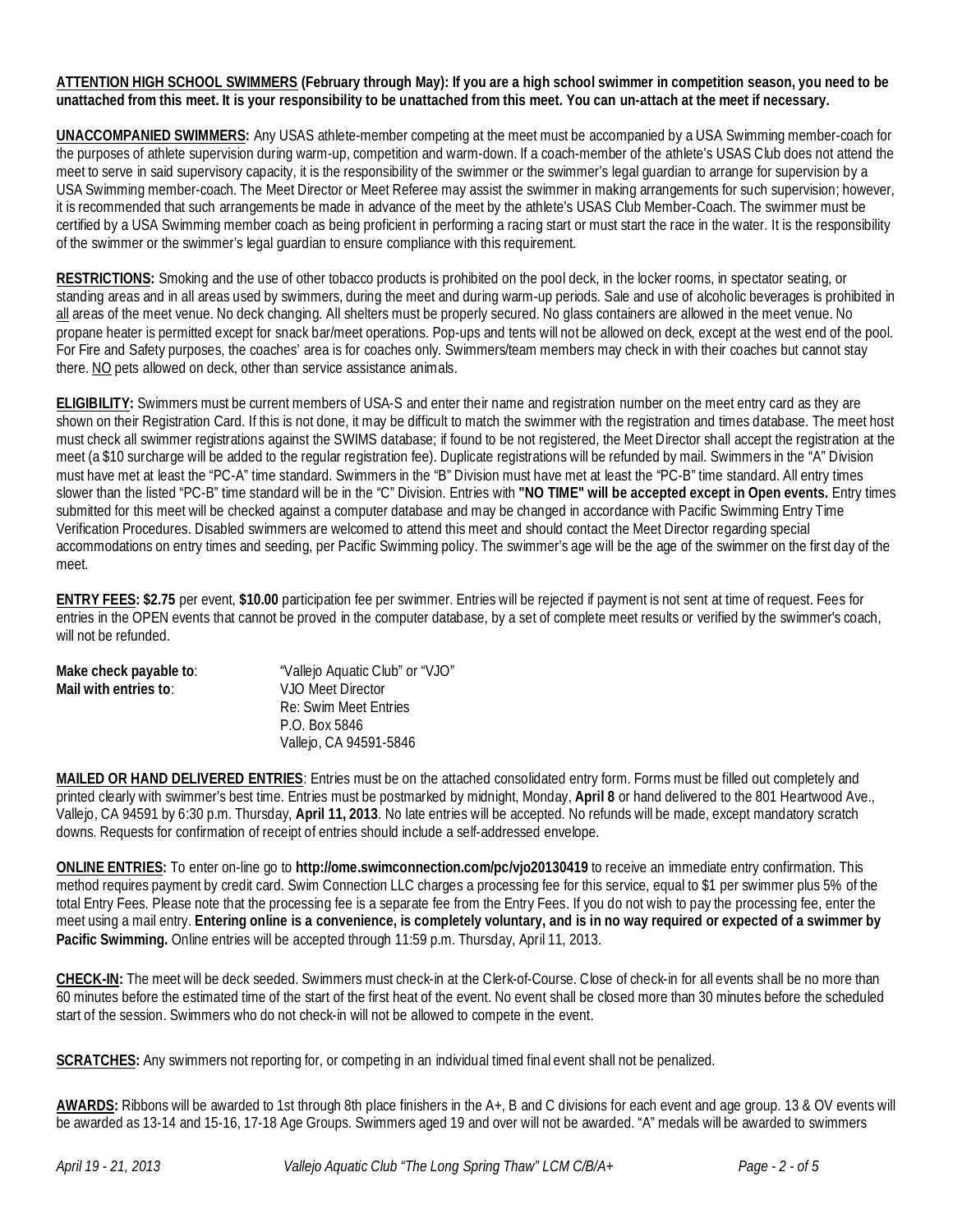**ATTENTION HIGH SCHOOL SWIMMERS (February through May): If you are a high school swimmer in competition season, you need to be unattached from this meet. It is your responsibility to be unattached from this meet. You can un-attach at the meet if necessary.**

**UNACCOMPANIED SWIMMERS:** Any USAS athlete-member competing at the meet must be accompanied by a USA Swimming member-coach for the purposes of athlete supervision during warm-up, competition and warm-down. If a coach-member of the athlete's USAS Club does not attend the meet to serve in said supervisory capacity, it is the responsibility of the swimmer or the swimmer's legal guardian to arrange for supervision by a USA Swimming member-coach. The Meet Director or Meet Referee may assist the swimmer in making arrangements for such supervision; however, it is recommended that such arrangements be made in advance of the meet by the athlete's USAS Club Member-Coach. The swimmer must be certified by a USA Swimming member coach as being proficient in performing a racing start or must start the race in the water. It is the responsibility of the swimmer or the swimmer's legal guardian to ensure compliance with this requirement.

**RESTRICTIONS:** Smoking and the use of other tobacco products is prohibited on the pool deck, in the locker rooms, in spectator seating, or standing areas and in all areas used by swimmers, during the meet and during warm-up periods. Sale and use of alcoholic beverages is prohibited in all areas of the meet venue. No deck changing. All shelters must be properly secured. No glass containers are allowed in the meet venue. No propane heater is permitted except for snack bar/meet operations. Pop-ups and tents will not be allowed on deck, except at the west end of the pool. For Fire and Safety purposes, the coaches' area is for coaches only. Swimmers/team members may check in with their coaches but cannot stay there. NO pets allowed on deck, other than service assistance animals.

**ELIGIBILITY:** Swimmers must be current members of USA-S and enter their name and registration number on the meet entry card as they are shown on their Registration Card. If this is not done, it may be difficult to match the swimmer with the registration and times database. The meet host must check all swimmer registrations against the SWIMS database; if found to be not registered, the Meet Director shall accept the registration at the meet (a \$10 surcharge will be added to the regular registration fee). Duplicate registrations will be refunded by mail. Swimmers in the "A" Division must have met at least the "PC-A" time standard. Swimmers in the "B" Division must have met at least the "PC-B" time standard. All entry times slower than the listed "PC-B" time standard will be in the "C" Division. Entries with **"NO TIME" will be accepted except in Open events.** Entry times submitted for this meet will be checked against a computer database and may be changed in accordance with Pacific Swimming Entry Time Verification Procedures. Disabled swimmers are welcomed to attend this meet and should contact the Meet Director regarding special accommodations on entry times and seeding, per Pacific Swimming policy. The swimmer's age will be the age of the swimmer on the first day of the meet.

**ENTRY FEES: \$2.75** per event, **\$10.00** participation fee per swimmer. Entries will be rejected if payment is not sent at time of request. Fees for entries in the OPEN events that cannot be proved in the computer database, by a set of complete meet results or verified by the swimmer's coach, will not be refunded.

| Make check payable to: | "Vallejo Aquatic Club" or "VJO" |
|------------------------|---------------------------------|
| Mail with entries to:  | VJO Meet Director               |
|                        | Re: Swim Meet Entries           |
|                        | P.O. Box 5846                   |
|                        | Vallejo, CA 94591-5846          |

**MAILED OR HAND DELIVERED ENTRIES**: Entries must be on the attached consolidated entry form. Forms must be filled out completely and printed clearly with swimmer's best time. Entries must be postmarked by midnight, Monday, **April 8** or hand delivered to the 801 Heartwood Ave., Vallejo, CA 94591 by 6:30 p.m. Thursday, **April 11, 2013**. No late entries will be accepted. No refunds will be made, except mandatory scratch downs. Requests for confirmation of receipt of entries should include a self-addressed envelope.

**ONLINE ENTRIES:** To enter on-line go to **http://ome.swimconnection.com/pc/vjo20130419** to receive an immediate entry confirmation. This method requires payment by credit card. Swim Connection LLC charges a processing fee for this service, equal to \$1 per swimmer plus 5% of the total Entry Fees. Please note that the processing fee is a separate fee from the Entry Fees. If you do not wish to pay the processing fee, enter the meet using a mail entry. **Entering online is a convenience, is completely voluntary, and is in no way required or expected of a swimmer by Pacific Swimming.** Online entries will be accepted through 11:59 p.m. Thursday, April 11, 2013.

**CHECK-IN:** The meet will be deck seeded. Swimmers must check-in at the Clerk-of-Course. Close of check-in for all events shall be no more than 60 minutes before the estimated time of the start of the first heat of the event. No event shall be closed more than 30 minutes before the scheduled start of the session. Swimmers who do not check-in will not be allowed to compete in the event.

**SCRATCHES:** Any swimmers not reporting for, or competing in an individual timed final event shall not be penalized.

**AWARDS:** Ribbons will be awarded to 1st through 8th place finishers in the A+, B and C divisions for each event and age group. 13 & OV events will be awarded as 13-14 and 15-16, 17-18 Age Groups. Swimmers aged 19 and over will not be awarded. "A" medals will be awarded to swimmers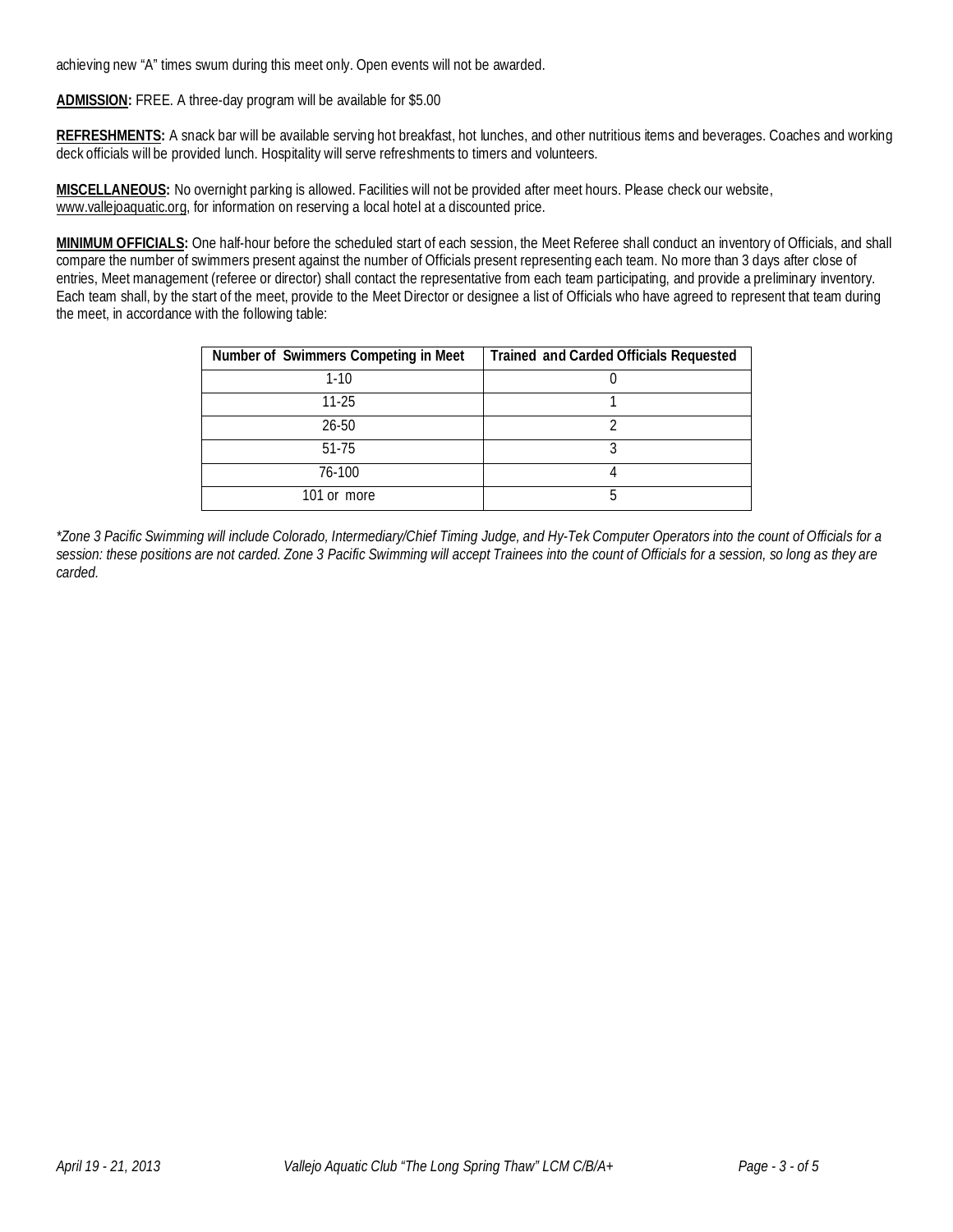achieving new "A" times swum during this meet only. Open events will not be awarded.

**ADMISSION:** FREE. A three-day program will be available for \$5.00

**REFRESHMENTS:** A snack bar will be available serving hot breakfast, hot lunches, and other nutritious items and beverages. Coaches and working deck officials will be provided lunch. Hospitality will serve refreshments to timers and volunteers.

**MISCELLANEOUS:** No overnight parking is allowed. Facilities will not be provided after meet hours. Please check our website, www.vallejoaquatic.org, for information on reserving a local hotel at a discounted price.

**MINIMUM OFFICIALS:** One half-hour before the scheduled start of each session, the Meet Referee shall conduct an inventory of Officials, and shall compare the number of swimmers present against the number of Officials present representing each team. No more than 3 days after close of entries, Meet management (referee or director) shall contact the representative from each team participating, and provide a preliminary inventory. Each team shall, by the start of the meet, provide to the Meet Director or designee a list of Officials who have agreed to represent that team during the meet, in accordance with the following table:

| Number of Swimmers Competing in Meet | <b>Trained and Carded Officials Requested</b> |
|--------------------------------------|-----------------------------------------------|
| $1 - 10$                             |                                               |
| $11-25$                              |                                               |
| $26 - 50$                            |                                               |
| 51-75                                |                                               |
| 76-100                               |                                               |
| 101 or more                          |                                               |

*\*Zone 3 Pacific Swimming will include Colorado, Intermediary/Chief Timing Judge, and Hy-Tek Computer Operators into the count of Officials for a session: these positions are not carded. Zone 3 Pacific Swimming will accept Trainees into the count of Officials for a session, so long as they are carded.*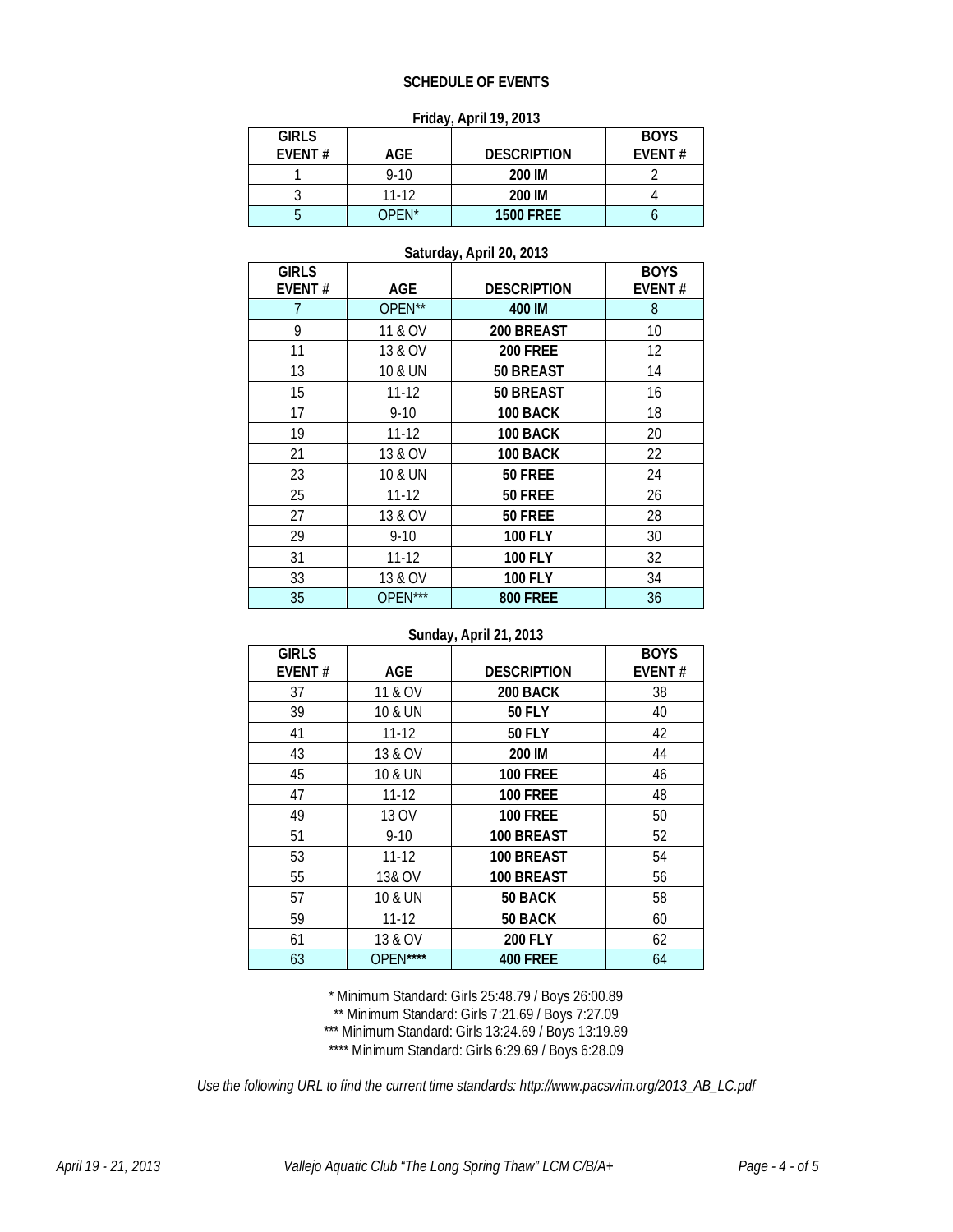# **SCHEDULE OF EVENTS**

| $1110a$ y, April 17, 2013 |          |                    |             |  |  |  |  |  |
|---------------------------|----------|--------------------|-------------|--|--|--|--|--|
| <b>GIRLS</b>              |          |                    | <b>BOYS</b> |  |  |  |  |  |
| FVFNT #                   | AGF      | <b>DESCRIPTION</b> | EVENT#      |  |  |  |  |  |
|                           | $9 - 10$ | 200 IM             |             |  |  |  |  |  |
|                           | $11-12$  | 200 IM             |             |  |  |  |  |  |
|                           | OPFN*    | <b>1500 FREE</b>   |             |  |  |  |  |  |

#### **Friday, April 19, 2013**

#### **Saturday, April 20, 2013**

| GIRLS         |           |                    | <b>BOYS</b> |
|---------------|-----------|--------------------|-------------|
| <b>EVENT#</b> | AGE       | <b>DESCRIPTION</b> | EVENT#      |
| 7             | OPEN**    | 400 IM             | 8           |
| 9             | 11 & OV   | 200 BREAST         | 10          |
| 11            | 13 & OV   | <b>200 FREE</b>    | 12          |
| 13            | 10 & UN   | 50 BREAST          | 14          |
| 15            | $11 - 12$ | 50 BREAST          | 16          |
| 17            | $9 - 10$  | 100 BACK           | 18          |
| 19            | $11 - 12$ | 100 BACK           | 20          |
| 21            | 13 & OV   | 100 BACK           | 22          |
| 23            | 10 & UN   | <b>50 FREE</b>     | 24          |
| 25            | $11 - 12$ | <b>50 FREE</b>     | 26          |
| 27            | 13 & OV   | <b>50 FREE</b>     | 28          |
| 29            | $9 - 10$  | <b>100 FLY</b>     | 30          |
| 31            | $11 - 12$ | <b>100 FLY</b>     | 32          |
| 33            | 13 & OV   | <b>100 FLY</b>     | 34          |
| 35            | OPEN***   | <b>800 FREE</b>    | 36          |

## **Sunday, April 21, 2013**

| <b>GIRLS</b>  |            |                    | <b>BOYS</b>   |
|---------------|------------|--------------------|---------------|
| <b>EVENT#</b> | <b>AGE</b> | <b>DESCRIPTION</b> | <b>EVENT#</b> |
| 37            | 11 & OV    | 200 BACK           | 38            |
| 39            | 10 & UN    | <b>50 FLY</b>      | 40            |
| 41            | $11 - 12$  | <b>50 FLY</b>      | 42            |
| 43            | 13 & OV    | 200 IM             | 44            |
| 45            | 10 & UN    | <b>100 FREE</b>    | 46            |
| 47            | $11 - 12$  | <b>100 FREE</b>    | 48            |
| 49            | 13 OV      | <b>100 FREE</b>    | 50            |
| 51            | $9 - 10$   | 100 BREAST         | 52            |
| 53            | $11 - 12$  | 100 BREAST         | 54            |
| 55            | 13& OV     | 100 BREAST         | 56            |
| 57            | 10 & UN    | 50 BACK            | 58            |
| 59            | $11 - 12$  | 50 BACK            | 60            |
| 61            | 13 & OV    | <b>200 FLY</b>     | 62            |
| 63            | OPEN****   | <b>400 FREE</b>    | 64            |

\* Minimum Standard: Girls 25:48.79 / Boys 26:00.89 \*\* Minimum Standard: Girls 7:21.69 / Boys 7:27.09 \*\*\* Minimum Standard: Girls 13:24.69 / Boys 13:19.89 \*\*\*\* Minimum Standard: Girls 6:29.69 / Boys 6:28.09

*Use the following URL to find the current time standards: http://www.pacswim.org/2013\_AB\_LC.pdf*